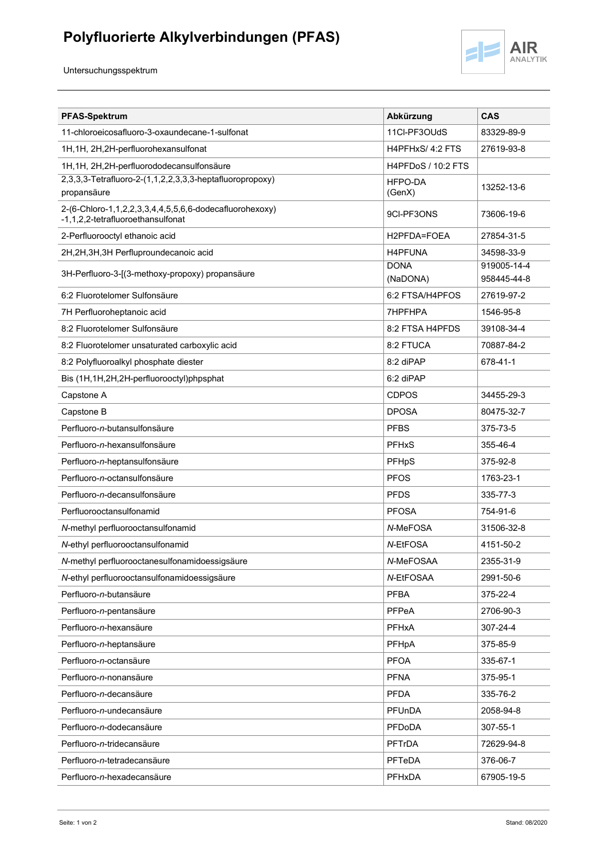## **Polyfluorierte Alkylverbindungen (PFAS)**



Untersuchungsspektrum

| <b>PFAS-Spektrum</b>                                                                         | Abkürzung                 | <b>CAS</b>                 |
|----------------------------------------------------------------------------------------------|---------------------------|----------------------------|
| 11-chloroeicosafluoro-3-oxaundecane-1-sulfonat                                               | 11Cl-PF3OUdS              | 83329-89-9                 |
| 1H, 1H, 2H, 2H-perfluorohexansulfonat                                                        | H4PFHxS/4:2 FTS           | 27619-93-8                 |
| 1H, 1H, 2H, 2H-perfluorododecansulfonsäure                                                   | <b>H4PFDoS / 10:2 FTS</b> |                            |
| 2,3,3,3-Tetrafluoro-2-(1,1,2,2,3,3,3-heptafluoropropoxy)<br>propansäure                      | HFPO-DA<br>(GenX)         | 13252-13-6                 |
| 2-(6-Chloro-1,1,2,2,3,3,4,4,5,5,6,6-dodecafluorohexoxy)<br>-1,1,2,2-tetrafluoroethansulfonat | 9CI-PF3ONS                | 73606-19-6                 |
| 2-Perfluorooctyl ethanoic acid                                                               | H2PFDA=FOEA               | 27854-31-5                 |
| 2H,2H,3H,3H Perfluproundecanoic acid                                                         | <b>H4PFUNA</b>            | 34598-33-9                 |
| 3H-Perfluoro-3-[(3-methoxy-propoxy) propansäure                                              | <b>DONA</b><br>(NaDONA)   | 919005-14-4<br>958445-44-8 |
| 6:2 Fluorotelomer Sulfonsäure                                                                | 6:2 FTSA/H4PFOS           | 27619-97-2                 |
| 7H Perfluoroheptanoic acid                                                                   | <b>7HPFHPA</b>            | 1546-95-8                  |
| 8:2 Fluorotelomer Sulfonsäure                                                                | 8:2 FTSA H4PFDS           | 39108-34-4                 |
| 8:2 Fluorotelomer unsaturated carboxylic acid                                                | 8:2 FTUCA                 | 70887-84-2                 |
| 8:2 Polyfluoroalkyl phosphate diester                                                        | 8:2 diPAP                 | 678-41-1                   |
| Bis (1H,1H,2H,2H-perfluorooctyl)phpsphat                                                     | 6:2 diPAP                 |                            |
| Capstone A                                                                                   | <b>CDPOS</b>              | 34455-29-3                 |
| Capstone B                                                                                   | <b>DPOSA</b>              | 80475-32-7                 |
| Perfluoro-n-butansulfonsäure                                                                 | <b>PFBS</b>               | 375-73-5                   |
| Perfluoro-n-hexansulfonsäure                                                                 | <b>PFHxS</b>              | 355-46-4                   |
| Perfluoro-n-heptansulfonsäure                                                                | <b>PFHpS</b>              | 375-92-8                   |
| Perfluoro-n-octansulfonsäure                                                                 | <b>PFOS</b>               | 1763-23-1                  |
| Perfluoro-n-decansulfonsäure                                                                 | <b>PFDS</b>               | 335-77-3                   |
| Perfluorooctansulfonamid                                                                     | <b>PFOSA</b>              | 754-91-6                   |
| N-methyl perfluorooctansulfonamid                                                            | N-MeFOSA                  | 31506-32-8                 |
| N-ethyl perfluorooctansulfonamid                                                             | N-EtFOSA                  | 4151-50-2                  |
| N-methyl perfluorooctanesulfonamidoessigsäure                                                | N-MeFOSAA                 | 2355-31-9                  |
| N-ethyl perfluorooctansulfonamidoessigsäure                                                  | N-EtFOSAA                 | 2991-50-6                  |
| Perfluoro-n-butansäure                                                                       | <b>PFBA</b>               | 375-22-4                   |
| Perfluoro-n-pentansäure                                                                      | PFPeA                     | 2706-90-3                  |
| Perfluoro-n-hexansäure                                                                       | <b>PFHxA</b>              | 307-24-4                   |
| Perfluoro-n-heptansäure                                                                      | PFHpA                     | 375-85-9                   |
| Perfluoro-n-octansäure                                                                       | <b>PFOA</b>               | 335-67-1                   |
| Perfluoro-n-nonansäure                                                                       | <b>PFNA</b>               | 375-95-1                   |
| Perfluoro-n-decansäure                                                                       | <b>PFDA</b>               | 335-76-2                   |
| Perfluoro-n-undecansäure                                                                     | PFUnDA                    | 2058-94-8                  |
| Perfluoro-n-dodecansäure                                                                     | PFDoDA                    | 307-55-1                   |
| Perfluoro-n-tridecansäure                                                                    | <b>PFTrDA</b>             | 72629-94-8                 |
| Perfluoro-n-tetradecansäure                                                                  | PFTeDA                    | 376-06-7                   |
| Perfluoro-n-hexadecansäure                                                                   | PFHxDA                    | 67905-19-5                 |